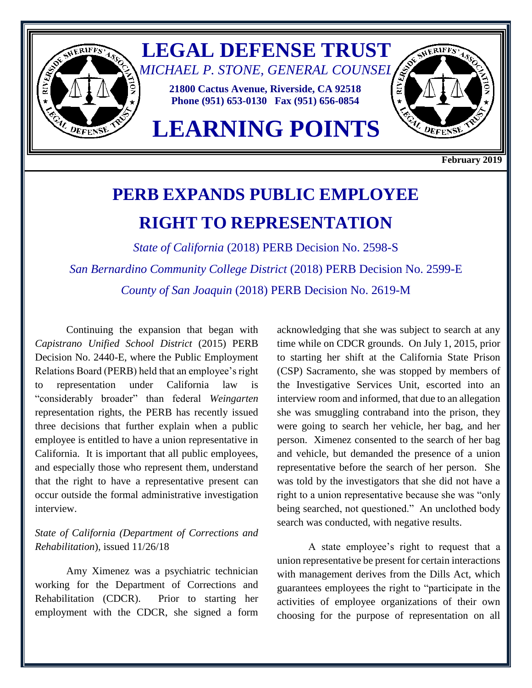

**February 2019**

# **PERB EXPANDS PUBLIC EMPLOYEE RIGHT TO REPRESENTATION**

*State of California* (2018) PERB Decision No. 2598-S *San Bernardino Community College District* (2018) PERB Decision No. 2599-E *County of San Joaquin* (2018) PERB Decision No. 2619-M

Continuing the expansion that began with *Capistrano Unified School District* (2015) PERB Decision No. 2440-E, where the Public Employment Relations Board (PERB) held that an employee's right to representation under California law is "considerably broader" than federal *Weingarten* representation rights, the PERB has recently issued three decisions that further explain when a public employee is entitled to have a union representative in California. It is important that all public employees, and especially those who represent them, understand that the right to have a representative present can occur outside the formal administrative investigation interview.

## *State of California (Department of Corrections and Rehabilitation*), issued 11/26/18

Amy Ximenez was a psychiatric technician working for the Department of Corrections and Rehabilitation (CDCR). Prior to starting her employment with the CDCR, she signed a form acknowledging that she was subject to search at any time while on CDCR grounds. On July 1, 2015, prior to starting her shift at the California State Prison (CSP) Sacramento, she was stopped by members of the Investigative Services Unit, escorted into an interview room and informed, that due to an allegation she was smuggling contraband into the prison, they were going to search her vehicle, her bag, and her person. Ximenez consented to the search of her bag and vehicle, but demanded the presence of a union representative before the search of her person. She was told by the investigators that she did not have a right to a union representative because she was "only being searched, not questioned." An unclothed body search was conducted, with negative results.

A state employee's right to request that a union representative be present for certain interactions with management derives from the Dills Act, which guarantees employees the right to "participate in the activities of employee organizations of their own choosing for the purpose of representation on all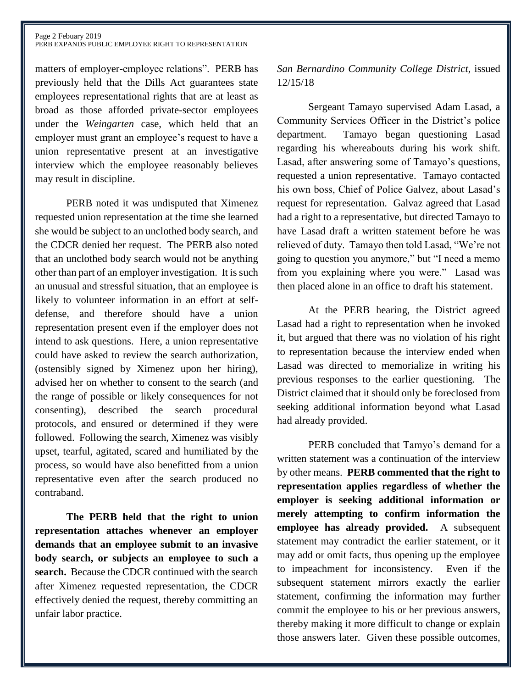matters of employer-employee relations". PERB has previously held that the Dills Act guarantees state employees representational rights that are at least as broad as those afforded private-sector employees under the *Weingarten* case, which held that an employer must grant an employee's request to have a union representative present at an investigative interview which the employee reasonably believes may result in discipline.

PERB noted it was undisputed that Ximenez requested union representation at the time she learned she would be subject to an unclothed body search, and the CDCR denied her request. The PERB also noted that an unclothed body search would not be anything other than part of an employer investigation. It is such an unusual and stressful situation, that an employee is likely to volunteer information in an effort at selfdefense, and therefore should have a union representation present even if the employer does not intend to ask questions. Here, a union representative could have asked to review the search authorization, (ostensibly signed by Ximenez upon her hiring), advised her on whether to consent to the search (and the range of possible or likely consequences for not consenting), described the search procedural protocols, and ensured or determined if they were followed. Following the search, Ximenez was visibly upset, tearful, agitated, scared and humiliated by the process, so would have also benefitted from a union representative even after the search produced no contraband.

**The PERB held that the right to union representation attaches whenever an employer demands that an employee submit to an invasive body search, or subjects an employee to such a search.** Because the CDCR continued with the search after Ximenez requested representation, the CDCR effectively denied the request, thereby committing an unfair labor practice.

### *San Bernardino Community College District*, issued 12/15/18

Sergeant Tamayo supervised Adam Lasad, a Community Services Officer in the District's police department. Tamayo began questioning Lasad regarding his whereabouts during his work shift. Lasad, after answering some of Tamayo's questions, requested a union representative. Tamayo contacted his own boss, Chief of Police Galvez, about Lasad's request for representation. Galvaz agreed that Lasad had a right to a representative, but directed Tamayo to have Lasad draft a written statement before he was relieved of duty. Tamayo then told Lasad, "We're not going to question you anymore," but "I need a memo from you explaining where you were." Lasad was then placed alone in an office to draft his statement.

At the PERB hearing, the District agreed Lasad had a right to representation when he invoked it, but argued that there was no violation of his right to representation because the interview ended when Lasad was directed to memorialize in writing his previous responses to the earlier questioning. The District claimed that it should only be foreclosed from seeking additional information beyond what Lasad had already provided.

PERB concluded that Tamyo's demand for a written statement was a continuation of the interview by other means. **PERB commented that the right to representation applies regardless of whether the employer is seeking additional information or merely attempting to confirm information the employee has already provided.** A subsequent statement may contradict the earlier statement, or it may add or omit facts, thus opening up the employee to impeachment for inconsistency. Even if the subsequent statement mirrors exactly the earlier statement, confirming the information may further commit the employee to his or her previous answers, thereby making it more difficult to change or explain those answers later. Given these possible outcomes,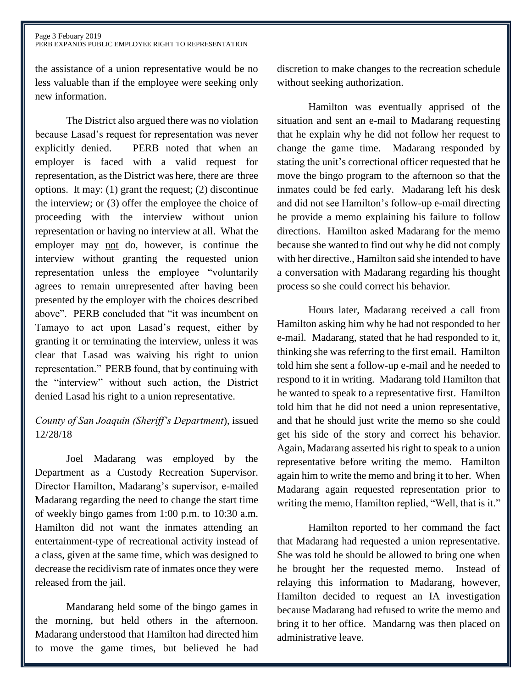the assistance of a union representative would be no less valuable than if the employee were seeking only new information.

The District also argued there was no violation because Lasad's request for representation was never explicitly denied. PERB noted that when an employer is faced with a valid request for representation, as the District was here, there are three options. It may: (1) grant the request; (2) discontinue the interview; or (3) offer the employee the choice of proceeding with the interview without union representation or having no interview at all. What the employer may not do, however, is continue the interview without granting the requested union representation unless the employee "voluntarily agrees to remain unrepresented after having been presented by the employer with the choices described above". PERB concluded that "it was incumbent on Tamayo to act upon Lasad's request, either by granting it or terminating the interview, unless it was clear that Lasad was waiving his right to union representation." PERB found, that by continuing with the "interview" without such action, the District denied Lasad his right to a union representative.

# *County of San Joaquin (Sheriff's Department*), issued 12/28/18

Joel Madarang was employed by the Department as a Custody Recreation Supervisor. Director Hamilton, Madarang's supervisor, e-mailed Madarang regarding the need to change the start time of weekly bingo games from 1:00 p.m. to 10:30 a.m. Hamilton did not want the inmates attending an entertainment-type of recreational activity instead of a class, given at the same time, which was designed to decrease the recidivism rate of inmates once they were released from the jail.

Mandarang held some of the bingo games in the morning, but held others in the afternoon. Madarang understood that Hamilton had directed him to move the game times, but believed he had discretion to make changes to the recreation schedule without seeking authorization.

Hamilton was eventually apprised of the situation and sent an e-mail to Madarang requesting that he explain why he did not follow her request to change the game time. Madarang responded by stating the unit's correctional officer requested that he move the bingo program to the afternoon so that the inmates could be fed early. Madarang left his desk and did not see Hamilton's follow-up e-mail directing he provide a memo explaining his failure to follow directions. Hamilton asked Madarang for the memo because she wanted to find out why he did not comply with her directive., Hamilton said she intended to have a conversation with Madarang regarding his thought process so she could correct his behavior.

Hours later, Madarang received a call from Hamilton asking him why he had not responded to her e-mail. Madarang, stated that he had responded to it, thinking she was referring to the first email. Hamilton told him she sent a follow-up e-mail and he needed to respond to it in writing. Madarang told Hamilton that he wanted to speak to a representative first. Hamilton told him that he did not need a union representative, and that he should just write the memo so she could get his side of the story and correct his behavior. Again, Madarang asserted his right to speak to a union representative before writing the memo. Hamilton again him to write the memo and bring it to her. When Madarang again requested representation prior to writing the memo, Hamilton replied, "Well, that is it."

Hamilton reported to her command the fact that Madarang had requested a union representative. She was told he should be allowed to bring one when he brought her the requested memo. Instead of relaying this information to Madarang, however, Hamilton decided to request an IA investigation because Madarang had refused to write the memo and bring it to her office. Mandarng was then placed on administrative leave.